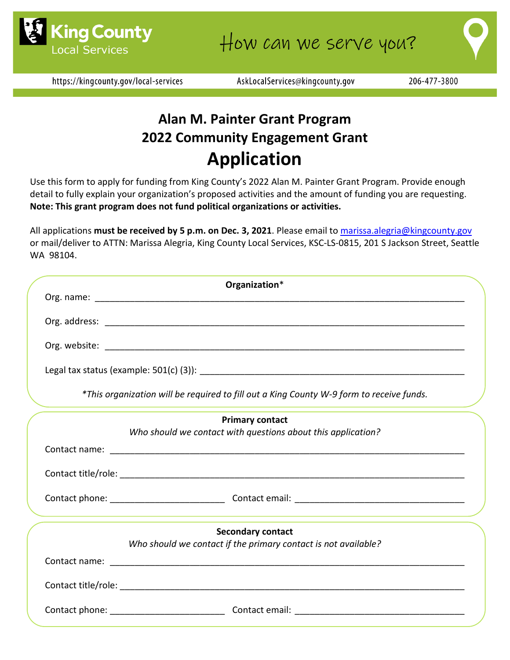

https://kingcounty.gov/local-services

AskLocalServices@kingcounty.gov

# **Alan M. Painter Grant Program 2022 Community Engagement Grant Application**

Use this form to apply for funding from King County's 2022 Alan M. Painter Grant Program. Provide enough detail to fully explain your organization's proposed activities and the amount of funding you are requesting. **Note: This grant program does not fund political organizations or activities.**

All applications **must be received by 5 p.m. on Dec. 3, 2021**. Please email t[o marissa.alegria@kingcounty.gov](mailto:marissa.alegria@kingcounty.gov) or mail/deliver to ATTN: Marissa Alegria, King County Local Services, KSC-LS-0815, 201 S Jackson Street, Seattle WA 98104.

| Organization*                                                                            |  |
|------------------------------------------------------------------------------------------|--|
|                                                                                          |  |
|                                                                                          |  |
|                                                                                          |  |
|                                                                                          |  |
| *This organization will be required to fill out a King County W-9 form to receive funds. |  |
| <b>Primary contact</b>                                                                   |  |
| Who should we contact with questions about this application?                             |  |
|                                                                                          |  |
|                                                                                          |  |
|                                                                                          |  |
|                                                                                          |  |
| <b>Secondary contact</b>                                                                 |  |
| Who should we contact if the primary contact is not available?                           |  |
|                                                                                          |  |
|                                                                                          |  |
|                                                                                          |  |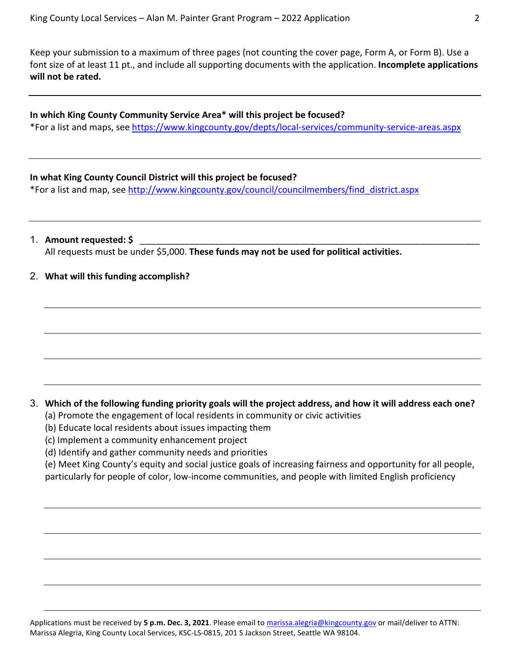Keep your submission to a maximum of three pages (not counting the cover page, Form A, or Form B). Use a font size of at least 11 pt., and include all supporting documents with the application. **Incomplete applications will not be rated.**

#### **In which King County Community Service Area\* will this project be focused?**

\*For a list and maps, see <https://www.kingcounty.gov/depts/local-services/community-service-areas.aspx>

#### **In what King County Council District will this project be focused?**

\*For a list and map, see [http://www.kingcounty.gov/council/councilmembers/find\\_district.aspx](http://www.kingcounty.gov/council/councilmembers/find_district.aspx)

1. **Amount requested: \$** \_\_\_\_\_\_\_\_\_\_\_\_\_\_\_\_\_\_\_\_\_\_\_\_\_\_\_\_\_\_\_\_\_\_\_\_\_\_\_\_\_\_\_\_\_\_\_\_\_\_\_\_\_\_\_\_\_\_\_\_\_\_\_\_\_\_\_\_ All requests must be under \$5,000. **These funds may not be used for political activities.**

#### 2. **What will this funding accomplish?**

#### 3. **Which of the following funding priority goals will the project address, and how it will address each one?**

- (a) Promote the engagement of local residents in community or civic activities
- (b) Educate local residents about issues impacting them
- (c) Implement a community enhancement project
- (d) Identify and gather community needs and priorities

(e) Meet King County's equity and social justice goals of increasing fairness and opportunity for all people,

particularly for people of color, low-income communities, and people with limited English proficiency

Applications must be received by **5 p.m. Dec. 3, 2021**. Please email to [marissa.alegria@kingcounty.gov](mailto:marissa.alegria@kingcounty.gov) or mail/deliver to ATTN: Marissa Alegria, King County Local Services, KSC-LS-0815, 201 S Jackson Street, Seattle WA 98104.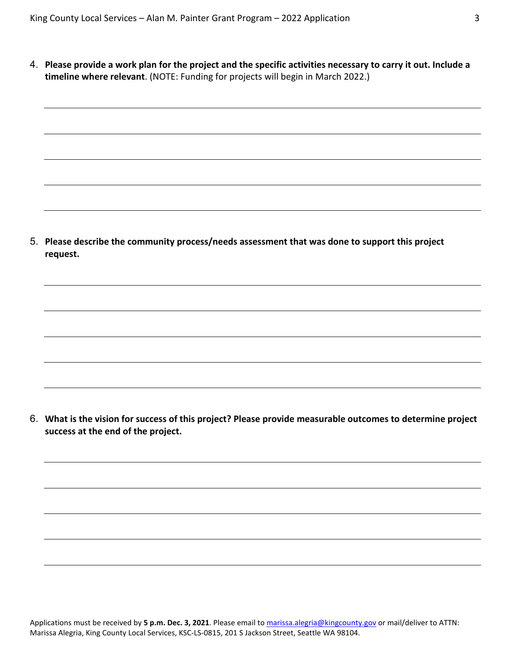4. **Please provide a work plan for the project and the specific activities necessary to carry it out. Include a timeline where relevant**. (NOTE: Funding for projects will begin in March 2022.)

5. **Please describe the community process/needs assessment that was done to support this project request.**

6. **What is the vision for success of this project? Please provide measurable outcomes to determine project success at the end of the project.** 

Applications must be received by **5 p.m. Dec. 3, 2021**. Please email to [marissa.alegria@kingcounty.gov](mailto:marissa.alegria@kingcounty.gov) or mail/deliver to ATTN: Marissa Alegria, King County Local Services, KSC-LS-0815, 201 S Jackson Street, Seattle WA 98104.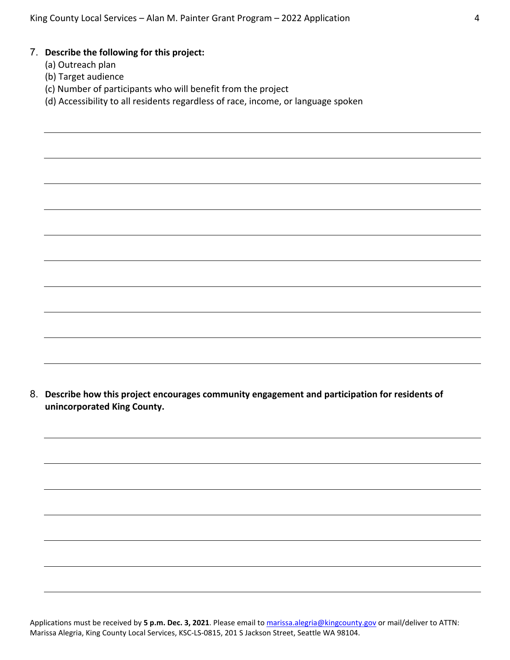#### 7. **Describe the following for this project:**

- (a) Outreach plan
- (b) Target audience
- (c) Number of participants who will benefit from the project
- (d) Accessibility to all residents regardless of race, income, or language spoken

8. **Describe how this project encourages community engagement and participation for residents of unincorporated King County.**

Applications must be received by **5 p.m. Dec. 3, 2021**. Please email to [marissa.alegria@kingcounty.gov](mailto:marissa.alegria@kingcounty.gov) or mail/deliver to ATTN: Marissa Alegria, King County Local Services, KSC-LS-0815, 201 S Jackson Street, Seattle WA 98104.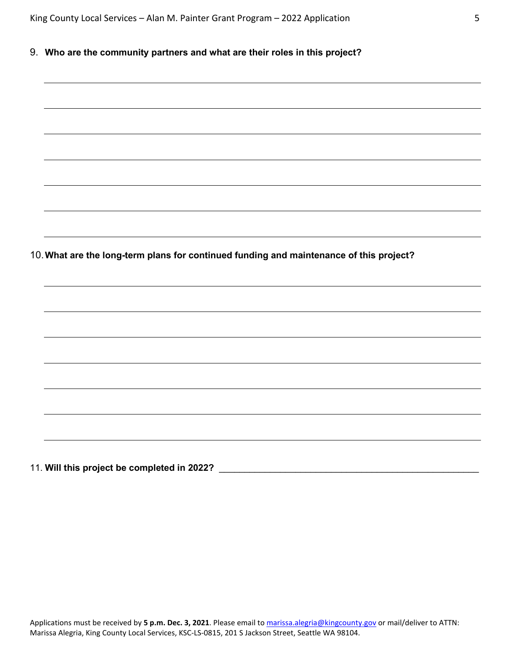9. **Who are the community partners and what are their roles in this project?**

| 10. What are the long-term plans for continued funding and maintenance of this project? |  |  |  |  |
|-----------------------------------------------------------------------------------------|--|--|--|--|

11. **Will this project be completed in 2022?** \_\_\_\_\_\_\_\_\_\_\_\_\_\_\_\_\_\_\_\_\_\_\_\_\_\_\_\_\_\_\_\_\_\_\_\_\_\_\_\_\_\_\_\_\_\_\_\_\_\_\_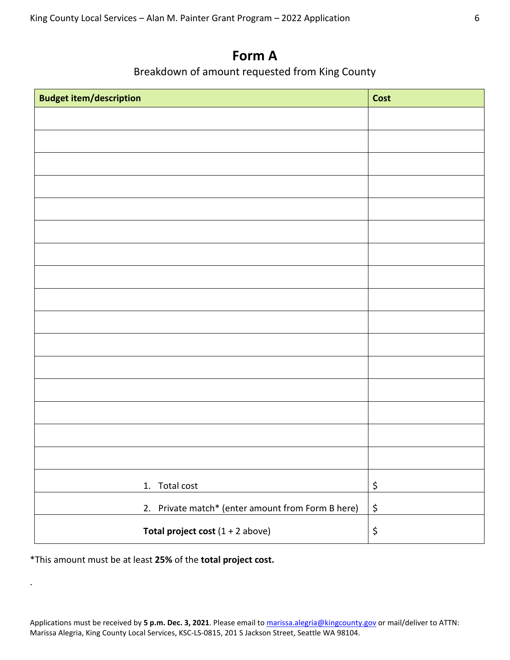### **Form A**

### Breakdown of amount requested from King County

| <b>Budget item/description</b>                    | <b>Cost</b>                    |
|---------------------------------------------------|--------------------------------|
|                                                   |                                |
|                                                   |                                |
|                                                   |                                |
|                                                   |                                |
|                                                   |                                |
|                                                   |                                |
|                                                   |                                |
|                                                   |                                |
|                                                   |                                |
|                                                   |                                |
|                                                   |                                |
|                                                   |                                |
|                                                   |                                |
|                                                   |                                |
|                                                   |                                |
|                                                   |                                |
| 1. Total cost                                     | $\boldsymbol{\dot{\varsigma}}$ |
| 2. Private match* (enter amount from Form B here) | \$                             |
| <b>Total project cost</b> $(1 + 2$ above)         | \$                             |

\*This amount must be at least **25%** of the **total project cost.**

.